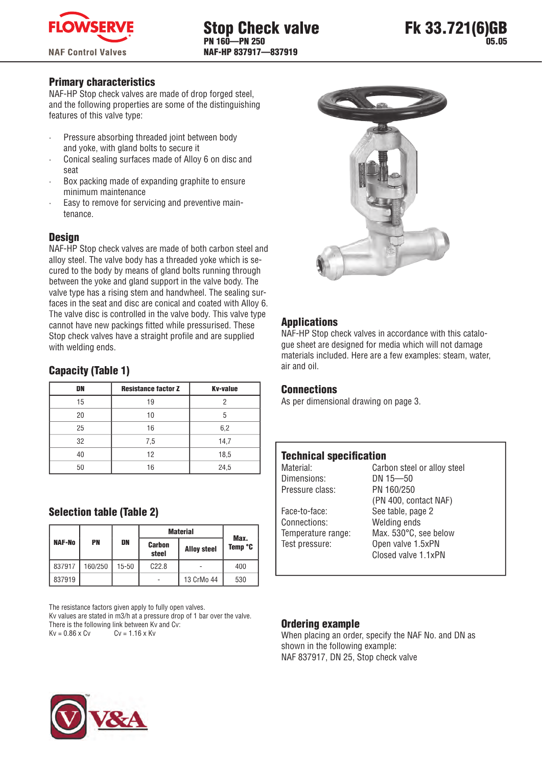

## Primary characteristics

NAF-HP Stop check valves are made of drop forged steel, and the following properties are some of the distinguishing features of this valve type:

- · Pressure absorbing threaded joint between body and yoke, with gland bolts to secure it
- · Conical sealing surfaces made of Alloy 6 on disc and seat
- Box packing made of expanding graphite to ensure minimum maintenance
- Easy to remove for servicing and preventive maintenance.

## **Design**

NAF-HP Stop check valves are made of both carbon steel and alloy steel. The valve body has a threaded yoke which is secured to the body by means of gland bolts running through between the yoke and gland support in the valve body. The valve type has a rising stem and handwheel. The sealing surfaces in the seat and disc are conical and coated with Alloy 6. The valve disc is controlled in the valve body. This valve type cannot have new packings fitted while pressurised. These Stop check valves have a straight profile and are supplied with welding ends.

# Capacity (Table 1)

| DN | <b>Resistance factor Z</b> | <b>Kv-value</b> |
|----|----------------------------|-----------------|
| 15 | 19                         |                 |
| 20 | 10                         | 5               |
| 25 | 16                         | 6,2             |
| 32 | 7,5                        | 14,7            |
| 40 | 12                         | 18,5            |
| 50 | 16                         | 24,5            |

## Selection table (Table 2)

|               |           |           | <b>Material</b>        | Max.               |         |  |
|---------------|-----------|-----------|------------------------|--------------------|---------|--|
| <b>NAF-No</b> | <b>PN</b> | DN        | <b>Carbon</b><br>steel | <b>Alloy steel</b> | Temp °C |  |
| 837917        | 160/250   | $15 - 50$ | C22.8                  |                    | 400     |  |
| 837919        |           |           |                        | 13 CrMo 44         | 530     |  |

The resistance factors given apply to fully open valves. Kv values are stated in m3/h at a pressure drop of 1 bar over the valve. There is the following link between Kv and Cv:<br> $Kv = 0.86 \times Cv$   $Cv = 1.16 \times Kv$  $Kv = 0.86 \times Cv$ 



## Applications

NAF-HP Stop check valves in accordance with this catalogue sheet are designed for media which will not damage materials included. Here are a few examples: steam, water, air and oil.

### **Connections**

As per dimensional drawing on page 3.

## **Technical specification**

Dimensions: DN 15—50 Pressure class: PN 160/250 Face-to-face: See table, page 2 Connections: Welding ends

Material: Carbon steel or alloy steel (PN 400, contact NAF) Temperature range: Max. 530°C, see below Test pressure: Open valve 1.5xPN Closed valve 1.1xPN

### Ordering example

When placing an order, specify the NAF No. and DN as shown in the following example: NAF 837917, DN 25, Stop check valve

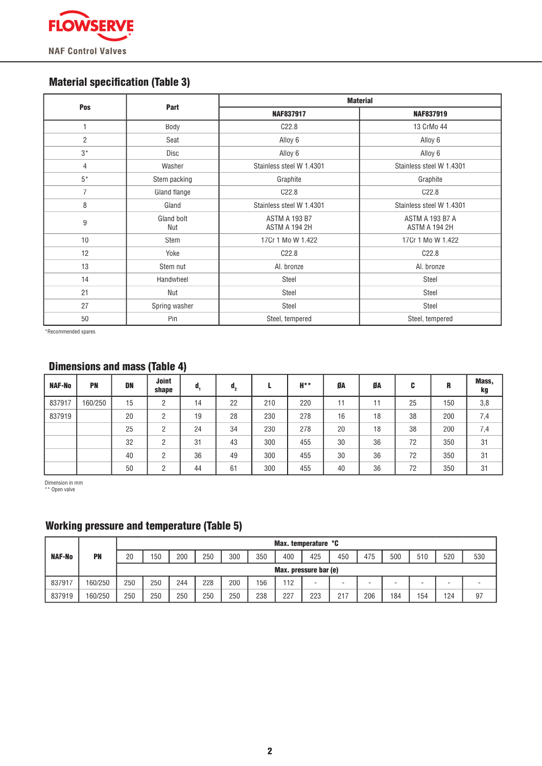

# **Material specification (Table 3)**

| Pos            | Part              | <b>Material</b>                       |                                         |  |  |  |  |  |  |
|----------------|-------------------|---------------------------------------|-----------------------------------------|--|--|--|--|--|--|
|                |                   | <b>NAF837917</b>                      | <b>NAF837919</b>                        |  |  |  |  |  |  |
| $\overline{1}$ | Body              | C <sub>22.8</sub>                     | 13 CrMo 44                              |  |  |  |  |  |  |
| $\overline{2}$ | Seat              | Alloy 6                               | Alloy 6                                 |  |  |  |  |  |  |
| $3*$           | Disc              | Alloy 6                               | Alloy 6                                 |  |  |  |  |  |  |
| $\overline{4}$ | Washer            | Stainless steel W 1.4301              | Stainless steel W 1.4301                |  |  |  |  |  |  |
| $5*$           | Stem packing      | Graphite                              | Graphite                                |  |  |  |  |  |  |
| $\overline{7}$ | Gland flange      | C <sub>22.8</sub>                     | C22.8                                   |  |  |  |  |  |  |
| 8              | Gland             | Stainless steel W 1.4301              | Stainless steel W 1.4301                |  |  |  |  |  |  |
| 9              | Gland bolt<br>Nut | <b>ASTM A 193 B7</b><br>ASTM A 194 2H | <b>ASTM A 193 B7 A</b><br>ASTM A 194 2H |  |  |  |  |  |  |
| 10             | Stem              | 17Cr 1 Mo W 1.422                     | 17Cr 1 Mo W 1.422                       |  |  |  |  |  |  |
| 12             | Yoke              | C <sub>22.8</sub>                     | C22.8                                   |  |  |  |  |  |  |
| 13             | Stem nut          | Al. bronze                            | Al. bronze                              |  |  |  |  |  |  |
| 14             | Handwheel         | Steel                                 | Steel                                   |  |  |  |  |  |  |
| 21             | Nut               | Steel                                 | Steel                                   |  |  |  |  |  |  |
| 27             | Spring washer     | Steel                                 | Steel                                   |  |  |  |  |  |  |
| 50             | Pin               | Steel, tempered                       | Steel, tempered                         |  |  |  |  |  |  |

\*Recommended spares

# Dimensions and mass (Table 4)

| <b>NAF-No</b> | <b>PN</b> | DN | <b>Joint</b><br>shape | d, | $\mathbf{d}_{2}$ |     | H** | ØA | ØA | C  | R   | Mass,<br>kg |
|---------------|-----------|----|-----------------------|----|------------------|-----|-----|----|----|----|-----|-------------|
| 837917        | 160/250   | 15 | ŋ                     | 14 | 22               | 210 | 220 | 11 | 11 | 25 | 150 | 3,8         |
| 837919        |           | 20 | ŋ<br>∠                | 19 | 28               | 230 | 278 | 16 | 18 | 38 | 200 | 7,4         |
|               |           | 25 | ŋ<br>∠                | 24 | 34               | 230 | 278 | 20 | 18 | 38 | 200 | 7,4         |
|               |           | 32 | ŋ<br>∠                | 31 | 43               | 300 | 455 | 30 | 36 | 72 | 350 | 31          |
|               |           | 40 | C                     | 36 | 49               | 300 | 455 | 30 | 36 | 72 | 350 | 31          |
|               |           | 50 | ŋ                     | 44 | 61               | 300 | 455 | 40 | 36 | 72 | 350 | 31          |

Dimension in mm \*\* Open valve

# Working pressure and temperature (Table 5)

|               |           | Max. temperature °C   |     |     |     |     |     |     |     |     |     |     |     |     |     |
|---------------|-----------|-----------------------|-----|-----|-----|-----|-----|-----|-----|-----|-----|-----|-----|-----|-----|
| <b>NAF-No</b> | <b>PN</b> | 20                    | 150 | 200 | 250 | 300 | 350 | 400 | 425 | 450 | 475 | 500 | 510 | 520 | 530 |
|               |           | Max. pressure bar (e) |     |     |     |     |     |     |     |     |     |     |     |     |     |
| 837917        | 160/250   | 250                   | 250 | 244 | 228 | 200 | 156 | 112 |     |     |     |     | -   | -   |     |
| 837919        | 160/250   | 250                   | 250 | 250 | 250 | 250 | 238 | 227 | 223 | 217 | 206 | 184 | 154 | 124 | 97  |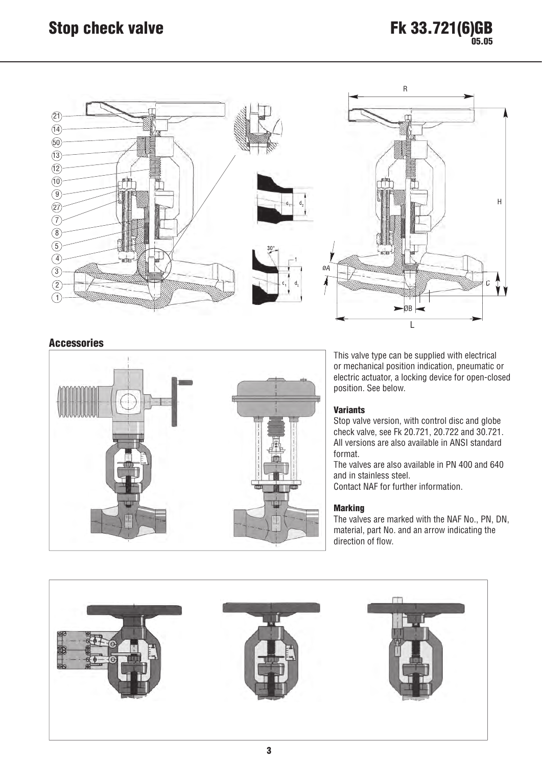

### Accessories



This valve type can be supplied with electrical or mechanical position indication, pneumatic or electric actuator, a locking device for open-closed position. See below.

#### **Variants**

Stop valve version, with control disc and globe check valve, see Fk 20.721, 20.722 and 30.721. All versions are also available in ANSI standard format.

The valves are also available in PN 400 and 640 and in stainless steel.

Contact NAF for further information.

#### **Marking**

The valves are marked with the NAF No., PN, DN, material, part No. and an arrow indicating the direction of flow.